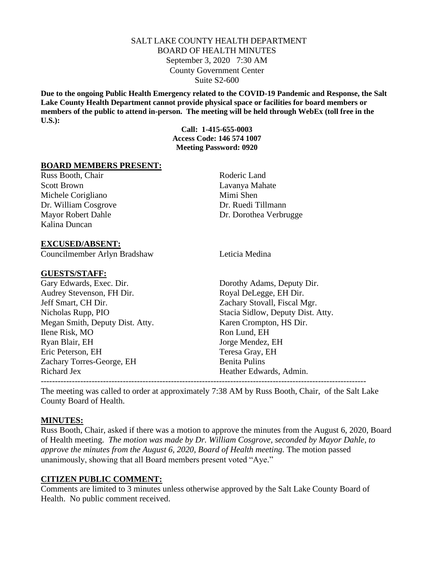## SALT LAKE COUNTY HEALTH DEPARTMENT BOARD OF HEALTH MINUTES September 3, 2020 7:30 AM County Government Center Suite S2-600

**Due to the ongoing Public Health Emergency related to the COVID-19 Pandemic and Response, the Salt Lake County Health Department cannot provide physical space or facilities for board members or members of the public to attend in-person. The meeting will be held through WebEx (toll free in the U.S.):**

> **Call: 1-415-655-0003 Access Code: 146 574 1007 Meeting Password: 0920**

#### **BOARD MEMBERS PRESENT:**

Russ Booth, Chair Roderic Land Scott Brown Lavanya Mahate Michele Corigliano Mimi Shen Dr. William Cosgrove Dr. Ruedi Tillmann Kalina Duncan

Mayor Robert Dahle Dr. Dorothea Verbrugge

#### **EXCUSED/ABSENT:**

Councilmember Arlyn Bradshaw Leticia Medina

### **GUESTS/STAFF:**

Audrey Stevenson, FH Dir. Royal DeLegge, EH Dir. Jeff Smart, CH Dir. Zachary Stovall, Fiscal Mgr. Megan Smith, Deputy Dist. Atty. Karen Crompton, HS Dir. Ilene Risk, MO Ron Lund, EH Ryan Blair, EH Jorge Mendez, EH Eric Peterson, EH Teresa Gray, EH Zachary Torres-George, EH Benita Pulins Richard Jex **Heather Edwards, Admin.** 

Gary Edwards, Exec. Dir. Dorothy Adams, Deputy Dir. Nicholas Rupp, PIO Stacia Sidlow, Deputy Dist. Atty. -------------------------------------------------------------------------------------------------------------------

The meeting was called to order at approximately 7:38 AM by Russ Booth, Chair, of the Salt Lake County Board of Health.

#### **MINUTES:**

Russ Booth, Chair, asked if there was a motion to approve the minutes from the August 6, 2020, Board of Health meeting. *The motion was made by Dr. William Cosgrove, seconded by Mayor Dahle, to approve the minutes from the August 6, 2020, Board of Health meeting.* The motion passed unanimously, showing that all Board members present voted "Aye."

#### **CITIZEN PUBLIC COMMENT:**

Comments are limited to 3 minutes unless otherwise approved by the Salt Lake County Board of Health. No public comment received.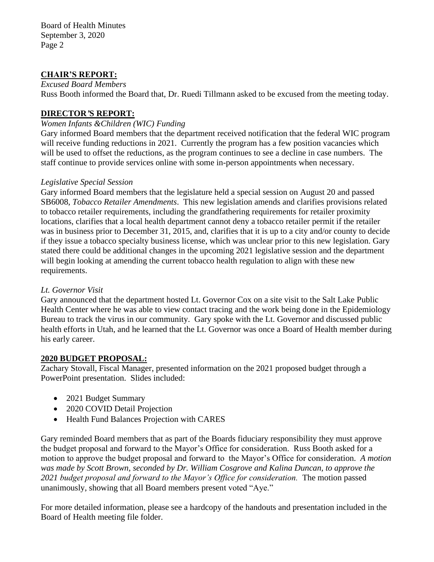Board of Health Minutes September 3, 2020 Page 2

## **CHAIR'S REPORT:**

*Excused Board Members* Russ Booth informed the Board that, Dr. Ruedi Tillmann asked to be excused from the meeting today.

# **DIRECTOR***'***S REPORT:**

## *Women Infants &Children (WIC) Funding*

Gary informed Board members that the department received notification that the federal WIC program will receive funding reductions in 2021. Currently the program has a few position vacancies which will be used to offset the reductions, as the program continues to see a decline in case numbers. The staff continue to provide services online with some in-person appointments when necessary.

## *Legislative Special Session*

Gary informed Board members that the legislature held a special session on August 20 and passed SB6008, *Tobacco Retailer Amendments*. This new legislation amends and clarifies provisions related to tobacco retailer requirements, including the grandfathering requirements for retailer proximity locations, clarifies that a local health department cannot deny a tobacco retailer permit if the retailer was in business prior to December 31, 2015, and, clarifies that it is up to a city and/or county to decide if they issue a tobacco specialty business license, which was unclear prior to this new legislation. Gary stated there could be additional changes in the upcoming 2021 legislative session and the department will begin looking at amending the current tobacco health regulation to align with these new requirements.

# *Lt. Governor Visit*

Gary announced that the department hosted Lt. Governor Cox on a site visit to the Salt Lake Public Health Center where he was able to view contact tracing and the work being done in the Epidemiology Bureau to track the virus in our community. Gary spoke with the Lt. Governor and discussed public health efforts in Utah, and he learned that the Lt. Governor was once a Board of Health member during his early career.

### **2020 BUDGET PROPOSAL:**

Zachary Stovall, Fiscal Manager, presented information on the 2021 proposed budget through a PowerPoint presentation. Slides included:

- 2021 Budget Summary
- 2020 COVID Detail Projection
- Health Fund Balances Projection with CARES

Gary reminded Board members that as part of the Boards fiduciary responsibility they must approve the budget proposal and forward to the Mayor's Office for consideration. Russ Booth asked for a motion to approve the budget proposal and forward to the Mayor's Office for consideration. *A motion was made by Scott Brown, seconded by Dr. William Cosgrove and Kalina Duncan, to approve the 2021 budget proposal and forward to the Mayor's Office for consideration.* The motion passed unanimously, showing that all Board members present voted "Aye."

For more detailed information, please see a hardcopy of the handouts and presentation included in the Board of Health meeting file folder.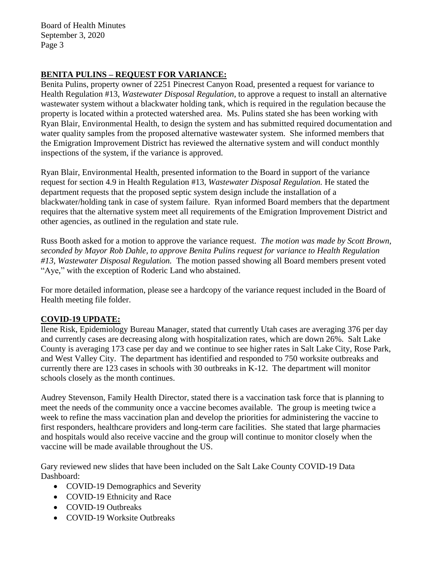Board of Health Minutes September 3, 2020 Page 3

# **BENITA PULINS – REQUEST FOR VARIANCE:**

Benita Pulins, property owner of 2251 Pinecrest Canyon Road, presented a request for variance to Health Regulation #13, *Wastewater Disposal Regulation*, to approve a request to install an alternative wastewater system without a blackwater holding tank, which is required in the regulation because the property is located within a protected watershed area. Ms. Pulins stated she has been working with Ryan Blair, Environmental Health, to design the system and has submitted required documentation and water quality samples from the proposed alternative wastewater system. She informed members that the Emigration Improvement District has reviewed the alternative system and will conduct monthly inspections of the system, if the variance is approved.

Ryan Blair, Environmental Health, presented information to the Board in support of the variance request for section 4.9 in Health Regulation #13, *Wastewater Disposal Regulation.* He stated the department requests that the proposed septic system design include the installation of a blackwater/holding tank in case of system failure. Ryan informed Board members that the department requires that the alternative system meet all requirements of the Emigration Improvement District and other agencies, as outlined in the regulation and state rule.

Russ Booth asked for a motion to approve the variance request. *The motion was made by Scott Brown, seconded by Mayor Rob Dahle, to approve Benita Pulins request for variance to Health Regulation #13, Wastewater Disposal Regulation.* The motion passed showing all Board members present voted "Aye," with the exception of Roderic Land who abstained.

For more detailed information, please see a hardcopy of the variance request included in the Board of Health meeting file folder.

# **COVID-19 UPDATE:**

Ilene Risk, Epidemiology Bureau Manager, stated that currently Utah cases are averaging 376 per day and currently cases are decreasing along with hospitalization rates, which are down 26%. Salt Lake County is averaging 173 case per day and we continue to see higher rates in Salt Lake City, Rose Park, and West Valley City. The department has identified and responded to 750 worksite outbreaks and currently there are 123 cases in schools with 30 outbreaks in K-12. The department will monitor schools closely as the month continues.

Audrey Stevenson, Family Health Director, stated there is a vaccination task force that is planning to meet the needs of the community once a vaccine becomes available. The group is meeting twice a week to refine the mass vaccination plan and develop the priorities for administering the vaccine to first responders, healthcare providers and long-term care facilities. She stated that large pharmacies and hospitals would also receive vaccine and the group will continue to monitor closely when the vaccine will be made available throughout the US.

Gary reviewed new slides that have been included on the Salt Lake County COVID-19 Data Dashboard:

- COVID-19 Demographics and Severity
- COVID-19 Ethnicity and Race
- COVID-19 Outbreaks
- COVID-19 Worksite Outbreaks